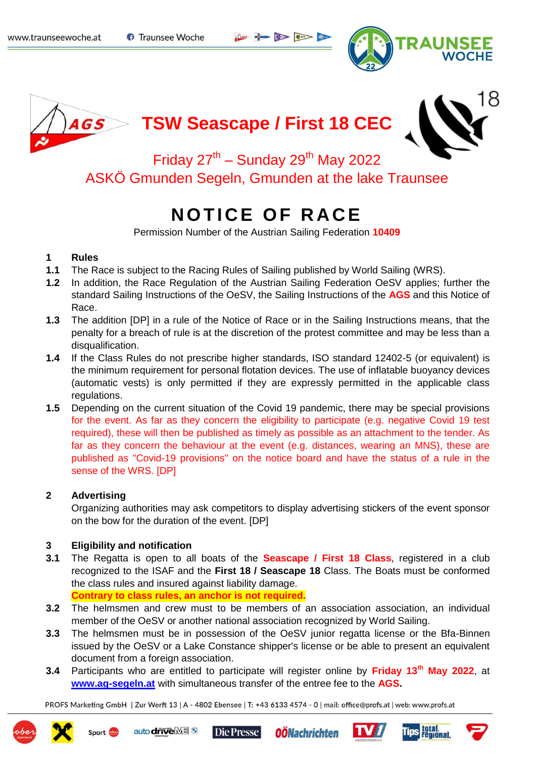**O** Traunsee Woche

$$
\mathbb{R}^n \iff \mathbb{R}^n \iff \mathbb{R}^n
$$





# **TSW Seascape / First 18 CEC**



Friday  $27^{th}$  – Sunday  $29^{th}$  May 2022 ASKÖ Gmunden Segeln, Gmunden at the lake Traunsee

## **NOTICE OF RACE**

Permission Number of the Austrian Sailing Federation **10409**

## **1 Rules**

- **1.1** The Race is subject to the Racing Rules of Sailing published by World Sailing (WRS).
- **1.2** In addition, the Race Regulation of the Austrian Sailing Federation OeSV applies; further the standard Sailing Instructions of the OeSV, the Sailing Instructions of the **AGS** and this Notice of Race.
- **1.3** The addition [DP] in a rule of the Notice of Race or in the Sailing Instructions means, that the penalty for a breach of rule is at the discretion of the protest committee and may be less than a disqualification.
- **1.4** If the Class Rules do not prescribe higher standards, ISO standard 12402-5 (or equivalent) is the minimum requirement for personal flotation devices. The use of inflatable buoyancy devices (automatic vests) is only permitted if they are expressly permitted in the applicable class regulations.
- **1.5** Depending on the current situation of the Covid 19 pandemic, there may be special provisions for the event. As far as they concern the eligibility to participate (e.g. negative Covid 19 test required), these will then be published as timely as possible as an attachment to the tender. As far as they concern the behaviour at the event (e.g. distances, wearing an MNS), these are published as "Covid-19 provisions" on the notice board and have the status of a rule in the sense of the WRS. [DP]

## **2 Advertising**

Organizing authorities may ask competitors to display advertising stickers of the event sponsor on the bow for the duration of the event. [DP]

## **3 Eligibility and notification**

**3.1** The Regatta is open to all boats of the **Seascape / First 18 Class**, registered in a club recognized to the ISAF and the **First 18 / Seascape 18** Class. The Boats must be conformed the class rules and insured against liability damage. **Contrary to class rules, an anchor is not required.**

**3.2** The helmsmen and crew must to be members of an association association, an individual

- member of the OeSV or another national association recognized by World Sailing.
- **3.3** The helmsmen must be in possession of the OeSV junior regatta license or the Bfa-Binnen issued by the OeSV or a Lake Constance shipper's license or be able to present an equivalent document from a foreign association.
- **3.4** Participants who are entitled to participate will register online by **Friday 13th May 2022**, at **[www.ag-segeln.at](http://www.ag-segeln.at/)** with simultaneous transfer of the entree fee to the **AGS.**









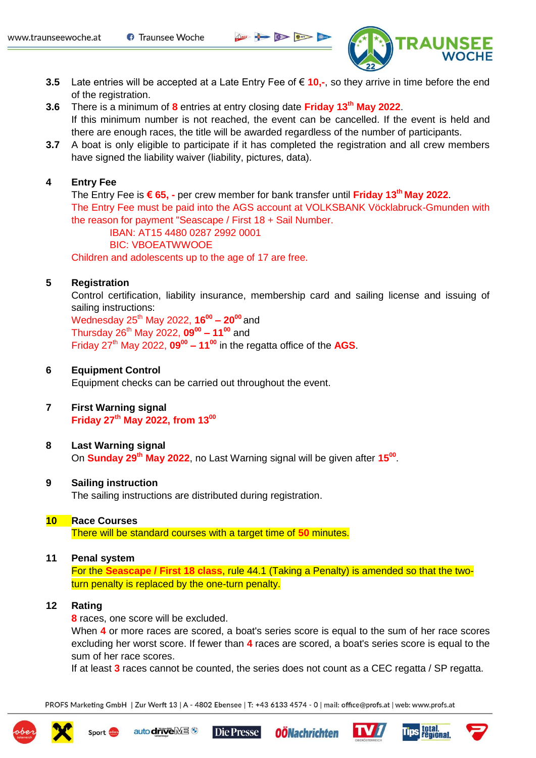$\sum_{n=1}^{\infty}$ 



- **3.5** Late entries will be accepted at a Late Entry Fee of € **10,-**, so they arrive in time before the end of the registration.
- **3.6** There is a minimum of **8** entries at entry closing date **Friday 13th May 2022**. If this minimum number is not reached, the event can be cancelled. If the event is held and there are enough races, the title will be awarded regardless of the number of participants.
- **3.7** A boat is only eligible to participate if it has completed the registration and all crew members have signed the liability waiver (liability, pictures, data).

## **4 Entry Fee**

The Entry Fee is **€ 65, -** per crew member for bank transfer until **Friday 13th May 2022**. The Entry Fee must be paid into the AGS account at VOLKSBANK Vöcklabruck-Gmunden with the reason for payment "Seascape / First 18 + Sail Number. IBAN: AT15 4480 0287 2992 0001

BIC: VBOEATWWOOE

Children and adolescents up to the age of 17 are free.

#### **5 Registration**

Control certification, liability insurance, membership card and sailing license and issuing of sailing instructions:

Wednesday 25th May 2022, **16<sup>00</sup> – 20<sup>00</sup>**and Thursday 26th May 2022, **09<sup>00</sup> – 11<sup>00</sup>** and Friday 27th May 2022, **09<sup>00</sup> – 11<sup>00</sup>** in the regatta office of the **AGS**.

#### **6 Equipment Control**

Equipment checks can be carried out throughout the event.

## **7 First Warning signal Friday 27th May 2022, from 13<sup>00</sup>**

#### **8 Last Warning signal**

On **Sunday 29th May 2022**, no Last Warning signal will be given after **15<sup>00</sup>** .

#### **9 Sailing instruction**

The sailing instructions are distributed during registration.

#### **10 Race Courses**

There will be standard courses with a target time of **50** minutes.

#### **11 Penal system**

Sport of

For the **Seascape / First 18 class**, rule 44.1 (Taking a Penalty) is amended so that the twoturn penalty is replaced by the one-turn penalty.

#### **12 Rating**

**8** races, one score will be excluded.

auto driveME<sup>®</sup>

When **4** or more races are scored, a boat's series score is equal to the sum of her race scores excluding her worst score. If fewer than **4** races are scored, a boat's series score is equal to the sum of her race scores.

If at least **3** races cannot be counted, the series does not count as a CEC regatta / SP regatta.







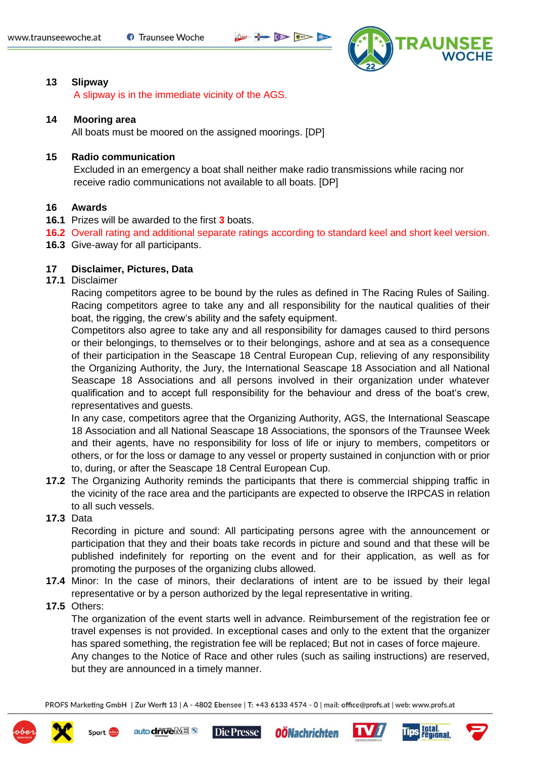



#### **13 Slipway**

A slipway is in the immediate vicinity of the AGS.

#### **14 Mooring area**

All boats must be moored on the assigned moorings. [DP]

## **15 Radio communication**

Excluded in an emergency a boat shall neither make radio transmissions while racing nor receive radio communications not available to all boats. [DP]

#### **16 Awards**

- **16.1** Prizes will be awarded to the first **3** boats.
- **16.2** Overall rating and additional separate ratings according to standard keel and short keel version.
- **16.3** Give-away for all participants.

#### **17 Disclaimer, Pictures, Data**

#### **17.1** Disclaimer

Racing competitors agree to be bound by the rules as defined in The Racing Rules of Sailing. Racing competitors agree to take any and all responsibility for the nautical qualities of their boat, the rigging, the crew's ability and the safety equipment.

Competitors also agree to take any and all responsibility for damages caused to third persons or their belongings, to themselves or to their belongings, ashore and at sea as a consequence of their participation in the Seascape 18 Central European Cup, relieving of any responsibility the Organizing Authority, the Jury, the International Seascape 18 Association and all National Seascape 18 Associations and all persons involved in their organization under whatever qualification and to accept full responsibility for the behaviour and dress of the boat's crew, representatives and guests.

In any case, competitors agree that the Organizing Authority, AGS, the International Seascape 18 Association and all National Seascape 18 Associations, the sponsors of the Traunsee Week and their agents, have no responsibility for loss of life or injury to members, competitors or others, or for the loss or damage to any vessel or property sustained in conjunction with or prior to, during, or after the Seascape 18 Central European Cup.

**17.2** The Organizing Authority reminds the participants that there is commercial shipping traffic in the vicinity of the race area and the participants are expected to observe the IRPCAS in relation to all such vessels.

#### **17.3** Data

Recording in picture and sound: All participating persons agree with the announcement or participation that they and their boats take records in picture and sound and that these will be published indefinitely for reporting on the event and for their application, as well as for promoting the purposes of the organizing clubs allowed.

- **17.4** Minor: In the case of minors, their declarations of intent are to be issued by their legal representative or by a person authorized by the legal representative in writing.
- **17.5** Others:

Sport of

The organization of the event starts well in advance. Reimbursement of the registration fee or travel expenses is not provided. In exceptional cases and only to the extent that the organizer has spared something, the registration fee will be replaced; But not in cases of force majeure. Any changes to the Notice of Race and other rules (such as sailing instructions) are reserved,

but they are announced in a timely manner.